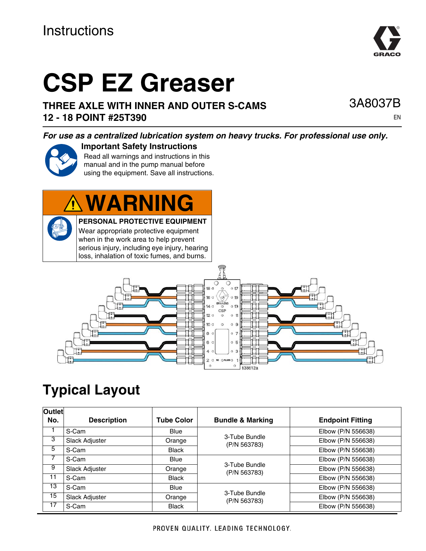# **CSP EZ Greaser**

**THREE AXLE WITH INNER AND OUTER S-CAMS 12 - 18 POINT #25T390**

#### *For use as a centralized lubrication system on heavy trucks. For professional use only.*

#### **Important Safety Instructions**

Read all warnings and instructions in this

manual and in the pump manual before using the equipment. Save all instructions.

## **WARNING**

**PERSONAL PROTECTIVE EQUIPMENT** Wear appropriate protective equipment when in the work area to help prevent serious injury, including eye injury, hearing loss, inhalation of toxic fumes, and burns.



### **Typical Layout**

| Outlet<br>No. | <b>Description</b> | <b>Tube Color</b> | <b>Bundle &amp; Marking</b>   | <b>Endpoint Fitting</b> |
|---------------|--------------------|-------------------|-------------------------------|-------------------------|
|               | S-Cam              | <b>Blue</b>       | 3-Tube Bundle<br>(P/N 563783) | Elbow (P/N 556638)      |
| 3             | Slack Adjuster     | Orange            |                               | Elbow (P/N 556638)      |
| 5             | S-Cam              | <b>Black</b>      |                               | Elbow (P/N 556638)      |
|               | S-Cam              | <b>Blue</b>       | 3-Tube Bundle<br>(P/N 563783) | Elbow (P/N 556638)      |
| 9             | Slack Adjuster     | Orange            |                               | Elbow (P/N 556638)      |
| 11            | S-Cam              | <b>Black</b>      |                               | Elbow (P/N 556638)      |
| 13            | S-Cam              | <b>Blue</b>       | 3-Tube Bundle<br>(P/N 563783) | Elbow (P/N 556638)      |
| 15            | Slack Adjuster     | Orange            |                               | Elbow (P/N 556638)      |
| 17            | S-Cam              | <b>Black</b>      |                               | Elbow (P/N 556638)      |



3A8037B

EN